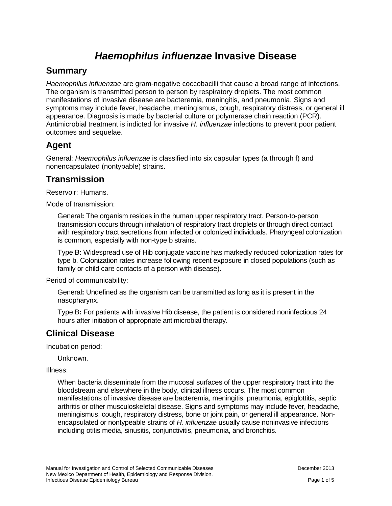# *Haemophilus influenzae* **Invasive Disease**

#### **Summary**

*Haemophilus influenzae* are gram-negative coccobacilli that cause a broad range of infections. The organism is transmitted person to person by respiratory droplets. The most common manifestations of invasive disease are bacteremia, meningitis, and pneumonia. Signs and symptoms may include fever, headache, meningismus, cough, respiratory distress, or general ill appearance. Diagnosis is made by bacterial culture or polymerase chain reaction (PCR). Antimicrobial treatment is indicted for invasive *H. influenzae* infections to prevent poor patient outcomes and sequelae.

#### **Agent**

General: *Haemophilus influenzae* is classified into six capsular types (a through f) and nonencapsulated (nontypable) strains.

#### **Transmission**

Reservoir: Humans.

Mode of transmission:

General**:** The organism resides in the human upper respiratory tract. Person-to-person transmission occurs through inhalation of respiratory tract droplets or through direct contact with respiratory tract secretions from infected or colonized individuals. Pharyngeal colonization is common, especially with non-type b strains.

Type B**:** Widespread use of Hib conjugate vaccine has markedly reduced colonization rates for type b. Colonization rates increase following recent exposure in closed populations (such as family or child care contacts of a person with disease).

Period of communicability:

General**:** Undefined as the organism can be transmitted as long as it is present in the nasopharynx.

Type B**:** For patients with invasive Hib disease, the patient is considered noninfectious 24 hours after initiation of appropriate antimicrobial therapy.

### **Clinical Disease**

Incubation period:

Unknown.

Illness:

When bacteria disseminate from the mucosal surfaces of the upper respiratory tract into the bloodstream and elsewhere in the body, clinical illness occurs. The most common manifestations of invasive disease are bacteremia, meningitis, pneumonia, epiglottitis, septic arthritis or other musculoskeletal disease. Signs and symptoms may include fever, headache, meningismus, cough, respiratory distress, bone or joint pain, or general ill appearance. Nonencapsulated or nontypeable strains of *H. influenzae* usually cause noninvasive infections including otitis media, sinusitis, conjunctivitis, pneumonia, and bronchitis.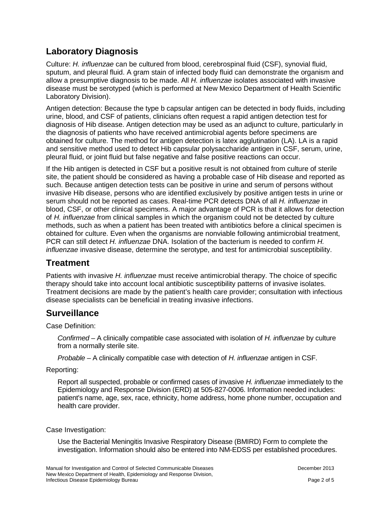## **Laboratory Diagnosis**

Culture: *H. influenzae* can be cultured from blood, cerebrospinal fluid (CSF), synovial fluid, sputum, and pleural fluid. A gram stain of infected body fluid can demonstrate the organism and allow a presumptive diagnosis to be made. All *H. influenzae* isolates associated with invasive disease must be serotyped (which is performed at New Mexico Department of Health Scientific Laboratory Division).

Antigen detection: Because the type b capsular antigen can be detected in body fluids, including urine, blood, and CSF of patients, clinicians often request a rapid antigen detection test for diagnosis of Hib disease. Antigen detection may be used as an adjunct to culture, particularly in the diagnosis of patients who have received antimicrobial agents before specimens are obtained for culture. The method for antigen detection is latex agglutination (LA). LA is a rapid and sensitive method used to detect Hib capsular polysaccharide antigen in CSF, serum, urine, pleural fluid, or joint fluid but false negative and false positive reactions can occur.

If the Hib antigen is detected in CSF but a positive result is not obtained from culture of sterile site, the patient should be considered as having a probable case of Hib disease and reported as such. Because antigen detection tests can be positive in urine and serum of persons without invasive Hib disease, persons who are identified exclusively by positive antigen tests in urine or serum should not be reported as cases. Real-time PCR detects DNA of all *H. influenzae* in blood, CSF, or other clinical specimens. A major advantage of PCR is that it allows for detection of *H. influenzae* from clinical samples in which the organism could not be detected by culture methods, such as when a patient has been treated with antibiotics before a clinical specimen is obtained for culture. Even when the organisms are nonviable following antimicrobial treatment, PCR can still detect *H. influenzae* DNA. Isolation of the bacterium is needed to confirm *H. influenzae* invasive disease, determine the serotype, and test for antimicrobial susceptibility.

### **Treatment**

Patients with invasive *H. influenzae* must receive antimicrobial therapy. The choice of specific therapy should take into account local antibiotic susceptibility patterns of invasive isolates. Treatment decisions are made by the patient's health care provider; consultation with infectious disease specialists can be beneficial in treating invasive infections.

### **Surveillance**

Case Definition:

*Confirmed* – A clinically compatible case associated with isolation of *H. influenzae* by culture from a normally sterile site.

*Probable* – A clinically compatible case with detection of *H. influenzae* antigen in CSF.

Reporting:

Report all suspected, probable or confirmed cases of invasive *H. influenzae* immediately to the Epidemiology and Response Division (ERD) at 505-827-0006. Information needed includes: patient's name, age, sex, race, ethnicity, home address, home phone number, occupation and health care provider.

Case Investigation:

Use the Bacterial Meningitis Invasive Respiratory Disease (BMIRD) Form to complete the investigation. Information should also be entered into NM-EDSS per established procedures.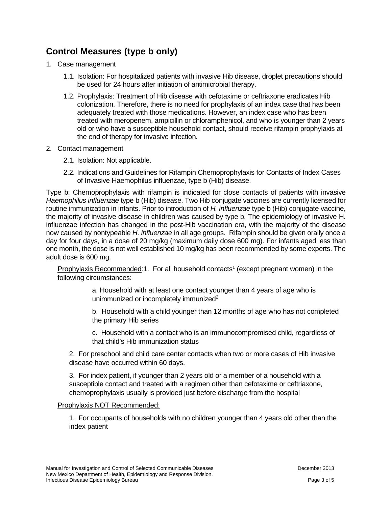# **Control Measures (type b only)**

- 1. Case management
	- 1.1. Isolation: For hospitalized patients with invasive Hib disease, droplet precautions should be used for 24 hours after initiation of antimicrobial therapy.
	- 1.2. Prophylaxis: Treatment of Hib disease with cefotaxime or ceftriaxone eradicates Hib colonization. Therefore, there is no need for prophylaxis of an index case that has been adequately treated with those medications. However, an index case who has been treated with meropenem, ampicillin or chloramphenicol, and who is younger than 2 years old or who have a susceptible household contact, should receive rifampin prophylaxis at the end of therapy for invasive infection.
- 2. Contact management
	- 2.1. Isolation: Not applicable.
	- 2.2. Indications and Guidelines for Rifampin Chemoprophylaxis for Contacts of Index Cases of Invasive Haemophilus influenzae, type b (Hib) disease.

Type b: Chemoprophylaxis with rifampin is indicated for close contacts of patients with invasive *Haemophilus influenzae* type b (Hib) disease. Two Hib conjugate vaccines are currently licensed for routine immunization in infants. Prior to introduction of *H. influenzae* type b (Hib) conjugate vaccine, the majority of invasive disease in children was caused by type b. The epidemiology of invasive H. influenzae infection has changed in the post-Hib vaccination era, with the majority of the disease now caused by nontypeable *H. influenzae* in all age groups. Rifampin should be given orally once a day for four days, in a dose of 20 mg/kg (maximum daily dose 600 mg). For infants aged less than one month, the dose is not well established 10 mg/kg has been recommended by some experts. The adult dose is 600 mg.

Prophylaxis Recommended:1. For all household contacts<sup>1</sup> (except pregnant women) in the following circumstances:

> a. Household with at least one contact younger than 4 years of age who is unimmunized or incompletely immunized $2^2$

b. Household with a child younger than 12 months of age who has not completed the primary Hib series

c. Household with a contact who is an immunocompromised child, regardless of that child's Hib immunization status

2. For preschool and child care center contacts when two or more cases of Hib invasive disease have occurred within 60 days.

3. For index patient, if younger than 2 years old or a member of a household with a susceptible contact and treated with a regimen other than cefotaxime or ceftriaxone, chemoprophylaxis usually is provided just before discharge from the hospital

#### Prophylaxis NOT Recommended:

1. For occupants of households with no children younger than 4 years old other than the index patient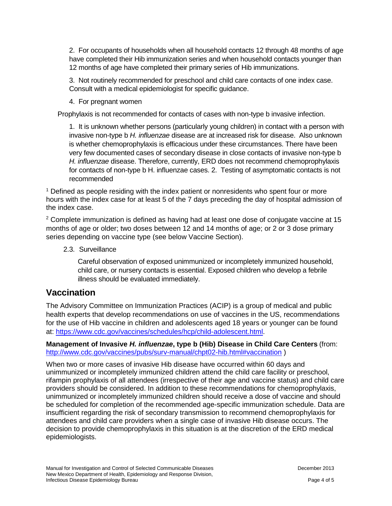2. For occupants of households when all household contacts 12 through 48 months of age have completed their Hib immunization series and when household contacts younger than 12 months of age have completed their primary series of Hib immunizations.

3. Not routinely recommended for preschool and child care contacts of one index case. Consult with a medical epidemiologist for specific guidance.

4. For pregnant women

Prophylaxis is not recommended for contacts of cases with non-type b invasive infection.

1. It is unknown whether persons (particularly young children) in contact with a person with invasive non-type b *H. influenzae* disease are at increased risk for disease. Also unknown is whether chemoprophylaxis is efficacious under these circumstances. There have been very few documented cases of secondary disease in close contacts of invasive non-type b *H. influenzae* disease. Therefore, currently, ERD does not recommend chemoprophylaxis for contacts of non-type b H. influenzae cases. 2. Testing of asymptomatic contacts is not recommended

<sup>1</sup> Defined as people residing with the index patient or nonresidents who spent four or more hours with the index case for at least 5 of the 7 days preceding the day of hospital admission of the index case.

 $2$  Complete immunization is defined as having had at least one dose of conjugate vaccine at 15 months of age or older; two doses between 12 and 14 months of age; or 2 or 3 dose primary series depending on vaccine type (see below Vaccine Section).

2.3. Surveillance

Careful observation of exposed unimmunized or incompletely immunized household, child care, or nursery contacts is essential. Exposed children who develop a febrile illness should be evaluated immediately.

#### **Vaccination**

The Advisory Committee on Immunization Practices (ACIP) is a group of medical and public health experts that develop recommendations on use of vaccines in the US, recommendations for the use of Hib vaccine in children and adolescents aged 18 years or younger can be found at: [https://www.cdc.gov/vaccines/schedules/hcp/child-adolescent.html.](https://www.cdc.gov/vaccines/schedules/hcp/child-adolescent.html)

**Management of Invasive** *H. influenzae***, type b (Hib) Disease in Child Care Centers** (from: <http://www.cdc.gov/vaccines/pubs/surv-manual/chpt02-hib.html#vaccination> )

When two or more cases of invasive Hib disease have occurred within 60 days and unimmunized or incompletely immunized children attend the child care facility or preschool, rifampin prophylaxis of all attendees (irrespective of their age and vaccine status) and child care providers should be considered. In addition to these recommendations for chemoprophylaxis, unimmunized or incompletely immunized children should receive a dose of vaccine and should be scheduled for completion of the recommended age-specific immunization schedule. Data are insufficient regarding the risk of secondary transmission to recommend chemoprophylaxis for attendees and child care providers when a single case of invasive Hib disease occurs. The decision to provide chemoprophylaxis in this situation is at the discretion of the ERD medical epidemiologists.